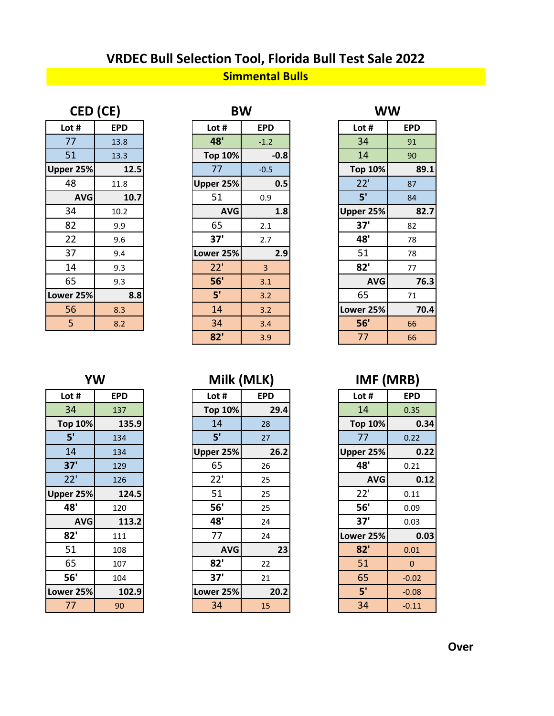## **Simmental Bulls VRDEC Bull Selection Tool, Florida Bull Test Sale 2022**

| CED (CE)   |      |  |  |  |
|------------|------|--|--|--|
| Lot #      | EPD  |  |  |  |
| 77         | 13.8 |  |  |  |
| 51         | 13.3 |  |  |  |
| Upper 25%  | 12.5 |  |  |  |
| 48         | 11.8 |  |  |  |
| <b>AVG</b> | 10.7 |  |  |  |
| 34         | 10.2 |  |  |  |
| 82         | 9.9  |  |  |  |
| 22         | 9.6  |  |  |  |
| 37         | 9.4  |  |  |  |
| 14         | 9.3  |  |  |  |
| 65         | 9.3  |  |  |  |
| Lower 25%  | 8.8  |  |  |  |
| 56         | 8.3  |  |  |  |
| 5          | 8.2  |  |  |  |

| CED (CE)   |            | <b>BW</b>      |            | <b>WW</b>      |            |
|------------|------------|----------------|------------|----------------|------------|
| Lot #      | <b>EPD</b> | Lot #          | <b>EPD</b> | Lot #          | <b>EPD</b> |
| 77         | 13.8       | 48'            | $-1.2$     | 34             | 91         |
| 51         | 13.3       | <b>Top 10%</b> | $-0.8$     | 14             | 90         |
| Upper 25%  | 12.5       | 77             | $-0.5$     | <b>Top 10%</b> | 89.1       |
| 48         | 11.8       | Upper 25%      | 0.5        | 22'            | 87         |
| <b>AVG</b> | 10.7       | 51             | 0.9        | 5'             | 84         |
| 34         | 10.2       | <b>AVG</b>     | 1.8        | Upper 25%      | 82.7       |
| 82         | 9.9        | 65             | 2.1        | 37'            | 82         |
| 22         | 9.6        | 37'            | 2.7        | 48'            | 78         |
| 37         | 9.4        | Lower 25%      | 2.9        | 51             | 78         |
| 14         | 9.3        | 22'            | 3          | 82'            | 77         |
| 65         | 9.3        | 56'            | 3.1        | <b>AVG</b>     | 76.3       |
| Lower 25%  | 8.8        | 5'             | 3.2        | 65             | 71         |
| 56         | 8.3        | 14             | 3.2        | Lower 25%      | 70.4       |
| 5          | 8.2        | 34             | 3.4        | 56'            | 66         |
|            |            | 82'            | 3.9        | 77             | 66         |

| BW         |            |                | w w        |
|------------|------------|----------------|------------|
| .ot #      | <b>EPD</b> | Lot #          | <b>EPD</b> |
| 48'        | $-1.2$     | 34             | 91         |
| op 10%     | $-0.8$     | 14             | 90         |
| 77         | $-0.5$     | <b>Top 10%</b> | 89.1       |
| er 25%     | 0.5        | 22'            | 87         |
| 51         | 0.9        | 5'             | 84         |
| <b>AVG</b> | 1.8        | Upper 25%      | 82.7       |
| 65         | 2.1        | 37'            | 82         |
| 37'        | 2.7        | 48'            | 78         |
| er 25%     | 2.9        | 51             | 78         |
| 22'        | 3          | 82'            | 77         |
| 56'        | 3.1        | <b>AVG</b>     | 76.3       |
| 5'         | 3.2        | 65             | 71         |
| 14         | 3.2        | Lower 25%      | 70.4       |
| 34         | 3.4        | 56'            | 66         |
| 82'        | 3.9        | 77             | 66         |
|            |            |                |            |

## **YW Milk (MLK) IMF (MRB)**

| Lot #      | <b>EPD</b> | Lot #          | <b>EPD</b> | Lot $#$        | <b>EPD</b>   |
|------------|------------|----------------|------------|----------------|--------------|
| 34         | 137        | <b>Top 10%</b> | 29.4       | 14             | 0.35         |
| Top 10%    | 135.9      | 14             | 28         | <b>Top 10%</b> | 0.34         |
| 5'         | 134        | 5'             | 27         | 77             | 0.22         |
| 14         | 134        | Upper 25%      | 26.2       | Upper 25%      | 0.22         |
| 37'        | 129        | 65             | 26         | 48'            | 0.21         |
| 22'        | 126        | 22'            | 25         | <b>AVG</b>     | 0.12         |
| per 25%    | 124.5      | 51             | 25         | 22'            | 0.11         |
| 48'        | 120        | 56'            | 25         | 56'            | 0.09         |
| <b>AVG</b> | 113.2      | 48'            | 24         | 37'            | 0.03         |
| 82'        | 111        | 77             | 24         | Lower 25%      | 0.03         |
| 51         | 108        | <b>AVG</b>     | 23         | 82'            | 0.01         |
| 65         | 107        | 82'            | 22         | 51             | $\mathbf{0}$ |
| 56'        | 104        | 37'            | 21         | 65             | $-0.02$      |
| wer 25%    | 102.9      | Lower 25%      | 20.2       | 5'             | $-0.08$      |
| 77         | 90         | 34             | 15         | 34             | $-0.11$      |

|--|

| Lot #      | <b>EPD</b> | Lot #          | <b>EPD</b> | Lot #          | <b>EPD</b> |
|------------|------------|----------------|------------|----------------|------------|
| 34         | 137        | <b>Top 10%</b> | 29.4       | 14             | 0.35       |
| Top 10%    | 135.9      | 14             | 28         | <b>Top 10%</b> |            |
| 5'         | 134        | 5'             | 27         | 77             | 0.22       |
| 14         | 134        | Upper 25%      | 26.2       | Upper 25%      |            |
| 37'        | 129        | 65             | 26         | 48'            | 0.21       |
| 22'        | 126        | 22'            | 25         | <b>AVG</b>     |            |
| Upper 25%  | 124.5      | 51             | 25         | 22'            | 0.11       |
| 48'        | 120        | 56'            | 25         | 56'            | 0.09       |
| <b>AVG</b> | 113.2      | 48'            | 24         | 37'            | 0.03       |
| 82'        | 111        | 77             | 24         | Lower 25%      |            |
| 51         | 108        | <b>AVG</b>     | 23         | 82'            | 0.01       |
| 65         | 107        | 82'            | 22         | 51             |            |
| 56'        | 104        | 37'            | 21         | 65             | $-0.02$    |
| Lower 25%  | 102.9      | Lower 25%      | 20.2       | 5'             | $-0.08$    |
| 77         | 90         | 34             | 15         | 34             | $-0.11$    |
|            |            |                |            |                |            |

| .ot #  | <b>EPD</b> | LOT #     | <b>EPD</b> | Lot #      | EPD  |
|--------|------------|-----------|------------|------------|------|
| 34     | 137        | Top 10%   | 29.4       | 14         | 0.35 |
| op 10% | 135.9      | 14        | 28         | Top 10%    |      |
| 5'     | 134        | 5'        | 27         |            | 0.22 |
| 14     | 134        | Upper 25% | 26.2       | Upper 25%  |      |
| 37'    | 129        | 65        | 26         | 48'        | 0.21 |
| 22'    | 126        | 22'       | 25         | <b>AVG</b> |      |
| er 25% | 124.5      | 51        | 25         | 22'        | 0.11 |
| 12'    | 120        | 56'       | つら         | 56'        | 0.09 |